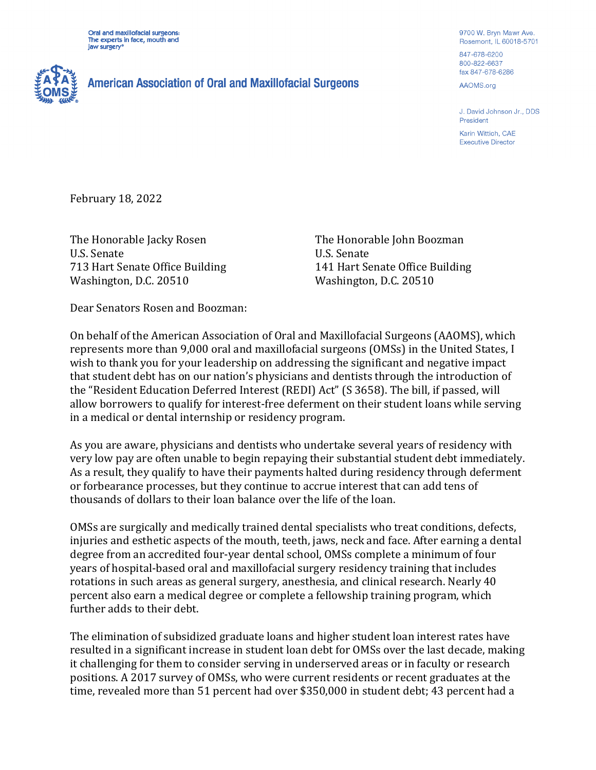Oral and maxillofacial surgeons: The experts in face, mouth and jaw surgery<sup>®</sup>



## **American Association of Oral and Maxillofacial Surgeons**

9700 W. Bryn Mawr Ave. Rosemont, IL 60018-5701 847-678-6200 800-822-6637

AAOMS.org

fax 847-678-6286

J. David Johnson Jr., DDS President

Karin Wittich, CAE **Executive Director** 

February 18, 2022

The Honorable Jacky Rosen U.S. Senate 713 Hart Senate Office Building Washington, D.C. 20510

The Honorable John Boozman U.S. Senate 141 Hart Senate Office Building Washington, D.C. 20510

Dear Senators Rosen and Boozman:

On behalf of the American Association of Oral and Maxillofacial Surgeons (AAOMS), which represents more than 9,000 oral and maxillofacial surgeons (OMSs) in the United States, I wish to thank you for your leadership on addressing the significant and negative impact that student debt has on our nation's physicians and dentists through the introduction of the "Resident Education Deferred Interest (REDI) Act" (S 3658). The bill, if passed, will allow borrowers to qualify for interest-free deferment on their student loans while serving in a medical or dental internship or residency program.

As you are aware, physicians and dentists who undertake several years of residency with very low pay are often unable to begin repaying their substantial student debt immediately. As a result, they qualify to have their payments halted during residency through deferment or forbearance processes, but they continue to accrue interest that can add tens of thousands of dollars to their loan balance over the life of the loan.

OMSs are surgically and medically trained dental specialists who treat conditions, defects, injuries and esthetic aspects of the mouth, teeth, jaws, neck and face. After earning a dental degree from an accredited four-year dental school, OMSs complete a minimum of four years of hospital-based oral and maxillofacial surgery residency training that includes rotations in such areas as general surgery, anesthesia, and clinical research. Nearly 40 percent also earn a medical degree or complete a fellowship training program, which further adds to their debt.

The elimination of subsidized graduate loans and higher student loan interest rates have resulted in a significant increase in student loan debt for OMSs over the last decade, making it challenging for them to consider serving in underserved areas or in faculty or research positions. A 2017 survey of OMSs, who were current residents or recent graduates at the time, revealed more than 51 percent had over \$350,000 in student debt; 43 percent had a